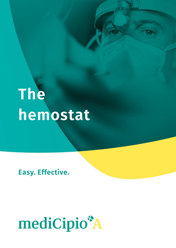# **The hemostat**

**Easy. Effective.**

## mediCipio\*A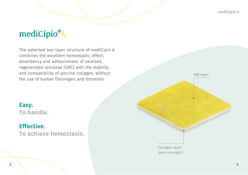**mediCipio A**

## mediCipio<sup>\*</sup>A

The patented two-layer structure of mediCipio A combines the excellent hemostyptic effect, absorbency and adhesiveness of oxidized, regenerated cellulose (ORC) with the stability and compatibility of porcine collagen, without the use of human fibrinogen and thrombin.



## **Effective. To achieve hemostasis.**

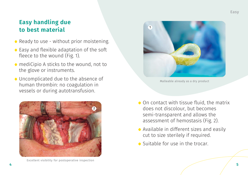## **Easy handling due to best material**

- Ready to use without prior moistening.
- Easy and flexible adaptation of the soft fleece to the wound (Fig. 1).
- mediCipio A sticks to the wound, not to the glove or instruments.
- Uncomplicated due to the absence of human thrombin: no coagulation in vessels or during autotransfusion.



Excellent visibility for postoperative inspection



Malleable already as a dry product

- On contact with tissue fluid, the matrix does not discolour, but becomes semi-transparent and allows the assessment of hemostasis (Fig. 2).
- Available in different sizes and easily cut to size sterilely if required.
- Suitable for use in the trocar.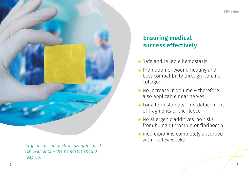



*Surgeons accomplish amazing medical achievements – the hemostat should keep up.*

## **Ensuring medical success effectively**

- Safe and reliable hemostasis
- Promotion of wound healing and best compatibility through porcine collagen
- No increase in volume therefore also applicable near nerves
- Long term stability no detachment of fragments of the fleece
- $\bullet$  No allergenic additives, no risks from human thrombin or fibrinogen
- mediCipio A is completely absorbed within a few weeks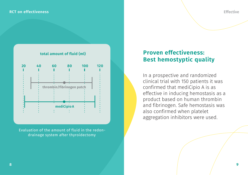#### **RCT on effectiveness**



Evaluation of the amount of fluid in the redondrainage system after thyroidectomy

### **Proven effectiveness: Best hemostyptic quality**

In a prospective and randomized clinical trial with 150 patients it was confirmed that mediCipio A is as effective in inducing hemostasis as a product based on human thrombin and fibrinogen. Safe hemostasis was also confirmed when platelet aggregation inhibitors were used.

**Effective**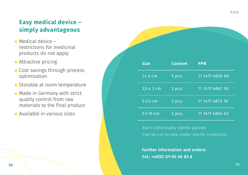## **Easy medical device – simply advantageous**

- $\bullet$  Medical device  $$ restrictions for medicinal products do not apply
- Attractive pricing
- Cost savings through process optimization
- Storable at room temperature
- Made in Germany with strict quality control from raw materials to the final product
- Available in various sizes

| <b>Size</b>      | <b>Content</b> | <b>PPN</b>      |
|------------------|----------------|-----------------|
| $1x5$ cm         | 5 pcs.         | 11 1417 4850 60 |
| 2,5 x 3 cm       | 5 pcs.         | 11 1417 4867 50 |
| 5x5cm            | 2 pcs.         | 11 1417 4873 16 |
| $5 \times 10$ cm | 2 pcs.         | 11 1417 4904 63 |

Each individually sterile packed Can be cut to size under sterile conditions

**Further information and orders: Tel.: +49(0) 371 90 96 83 8**